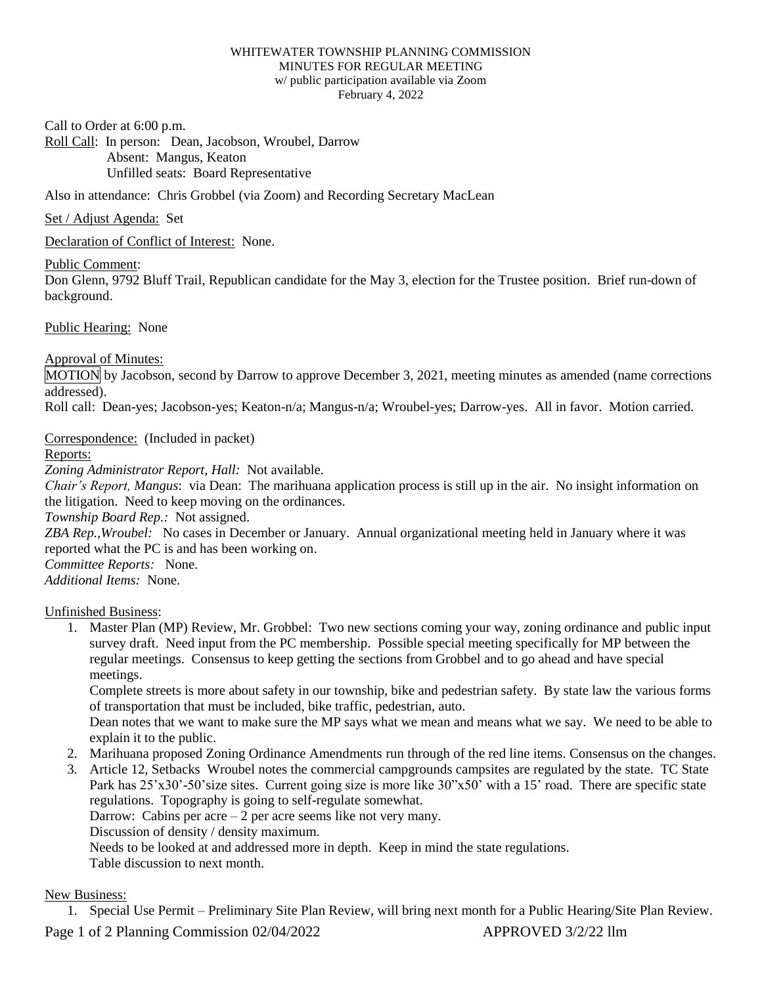## WHITEWATER TOWNSHIP PLANNING COMMISSION MINUTES FOR REGULAR MEETING w/ public participation available via Zoom

February 4, 2022

Call to Order at 6:00 p.m.

Roll Call: In person: Dean, Jacobson, Wroubel, Darrow Absent: Mangus, Keaton Unfilled seats: Board Representative

Also in attendance: Chris Grobbel (via Zoom) and Recording Secretary MacLean

Set / Adjust Agenda: Set

Declaration of Conflict of Interest: None.

Public Comment:

Don Glenn, 9792 Bluff Trail, Republican candidate for the May 3, election for the Trustee position. Brief run-down of background.

Public Hearing: None

Approval of Minutes:

MOTION by Jacobson, second by Darrow to approve December 3, 2021, meeting minutes as amended (name corrections addressed).

Roll call: Dean-yes; Jacobson-yes; Keaton-n/a; Mangus-n/a; Wroubel-yes; Darrow-yes. All in favor. Motion carried.

Correspondence: (Included in packet)

Reports:

*Zoning Administrator Report, Hall:* Not available.

*Chair's Report, Mangus*: via Dean: The marihuana application process is still up in the air. No insight information on the litigation. Need to keep moving on the ordinances.

*Township Board Rep.:* Not assigned.

*ZBA Rep.,Wroubel:* No cases in December or January. Annual organizational meeting held in January where it was reported what the PC is and has been working on.

*Committee Reports:* None.

*Additional Items:* None.

Unfinished Business:

1. Master Plan (MP) Review, Mr. Grobbel: Two new sections coming your way, zoning ordinance and public input survey draft. Need input from the PC membership. Possible special meeting specifically for MP between the regular meetings. Consensus to keep getting the sections from Grobbel and to go ahead and have special meetings.

Complete streets is more about safety in our township, bike and pedestrian safety. By state law the various forms of transportation that must be included, bike traffic, pedestrian, auto.

Dean notes that we want to make sure the MP says what we mean and means what we say. We need to be able to explain it to the public.

- 2. Marihuana proposed Zoning Ordinance Amendments run through of the red line items. Consensus on the changes.
- 3. Article 12, Setbacks Wroubel notes the commercial campgrounds campsites are regulated by the state. TC State Park has 25'x30'-50'size sites. Current going size is more like 30"x50' with a 15' road. There are specific state regulations. Topography is going to self-regulate somewhat. Darrow: Cabins per acre – 2 per acre seems like not very many. Discussion of density / density maximum. Needs to be looked at and addressed more in depth. Keep in mind the state regulations.

Table discussion to next month.

New Business:

Page 1 of 2 Planning Commission 02/04/2022 <br>APPROVED 3/2/22 llm 1. Special Use Permit – Preliminary Site Plan Review, will bring next month for a Public Hearing/Site Plan Review.